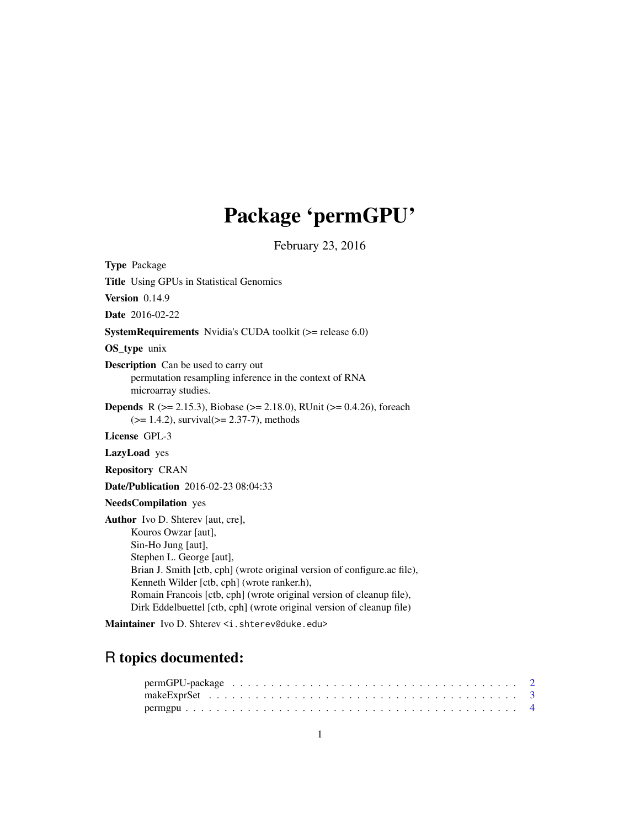# Package 'permGPU'

February 23, 2016

<span id="page-0-0"></span>

Maintainer Ivo D. Shterev <i.shterev@duke.edu>

### R topics documented: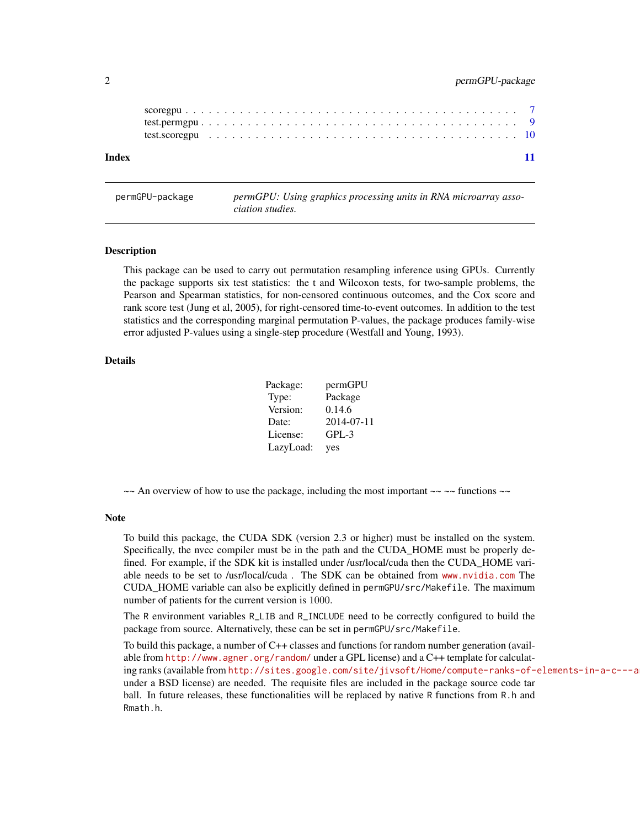<span id="page-1-0"></span>

| Index |  |  |  |  |  |  |  |  |  |  |  |  |  |  |  |  |  |  |  |  | 11 |
|-------|--|--|--|--|--|--|--|--|--|--|--|--|--|--|--|--|--|--|--|--|----|

permGPU-package *permGPU: Using graphics processing units in RNA microarray association studies.*

#### <span id="page-1-1"></span>Description

This package can be used to carry out permutation resampling inference using GPUs. Currently the package supports six test statistics: the t and Wilcoxon tests, for two-sample problems, the Pearson and Spearman statistics, for non-censored continuous outcomes, and the Cox score and rank score test (Jung et al, 2005), for right-censored time-to-event outcomes. In addition to the test statistics and the corresponding marginal permutation P-values, the package produces family-wise error adjusted P-values using a single-step procedure (Westfall and Young, 1993).

#### Details

| Package:  | permGPU    |
|-----------|------------|
| Type:     | Package    |
| Version:  | 0.14.6     |
| Date:     | 2014-07-11 |
| License:  | $GPL-3$    |
| LazyLoad: | yes        |

 $\sim$  An overview of how to use the package, including the most important  $\sim \sim$  functions  $\sim$ 

#### Note

To build this package, the CUDA SDK (version 2.3 or higher) must be installed on the system. Specifically, the nvcc compiler must be in the path and the CUDA\_HOME must be properly defined. For example, if the SDK kit is installed under /usr/local/cuda then the CUDA\_HOME variable needs to be set to /usr/local/cuda . The SDK can be obtained from <www.nvidia.com> The CUDA\_HOME variable can also be explicitly defined in permGPU/src/Makefile. The maximum number of patients for the current version is 1000.

The R environment variables R\_LIB and R\_INCLUDE need to be correctly configured to build the package from source. Alternatively, these can be set in permGPU/src/Makefile.

To build this package, a number of C++ classes and functions for random number generation (available from <http://www.agner.org/random/> under a GPL license) and a C++ template for calculating ranks (available from http://sites.google.com/site/jivsoft/Home/compute-ranks-of-elements-in-a-c---a under a BSD license) are needed. The requisite files are included in the package source code tar ball. In future releases, these functionalities will be replaced by native R functions from R.h and Rmath.h.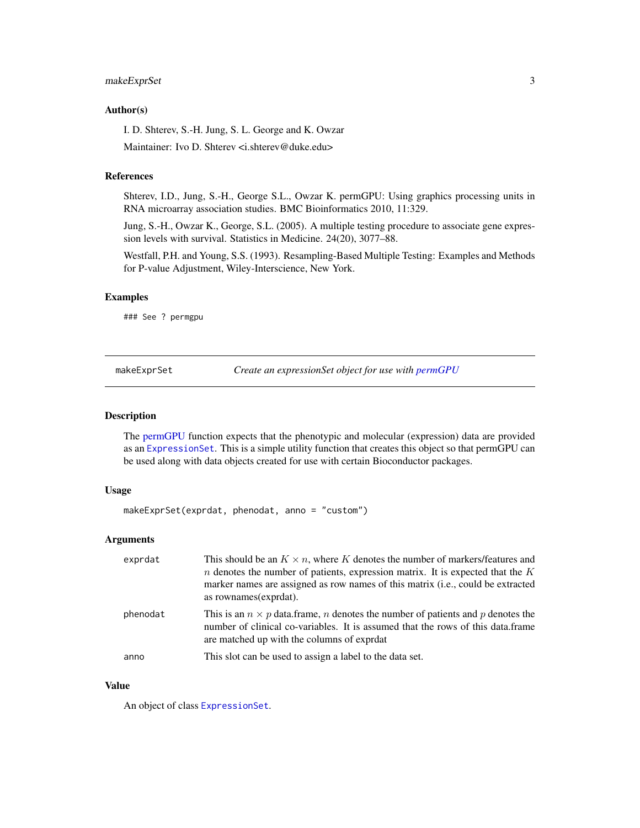#### <span id="page-2-0"></span>makeExprSet 3

#### Author(s)

I. D. Shterev, S.-H. Jung, S. L. George and K. Owzar

Maintainer: Ivo D. Shterev <i.shterev@duke.edu>

#### References

Shterev, I.D., Jung, S.-H., George S.L., Owzar K. permGPU: Using graphics processing units in RNA microarray association studies. BMC Bioinformatics 2010, 11:329.

Jung, S.-H., Owzar K., George, S.L. (2005). A multiple testing procedure to associate gene expression levels with survival. Statistics in Medicine. 24(20), 3077–88.

Westfall, P.H. and Young, S.S. (1993). Resampling-Based Multiple Testing: Examples and Methods for P-value Adjustment, Wiley-Interscience, New York.

#### Examples

### See ? permgpu

makeExprSet *Create an expressionSet object for use with [permGPU](#page-1-1)*

#### Description

The [permGPU](#page-1-1) function expects that the phenotypic and molecular (expression) data are provided as an [ExpressionSet](#page-0-0). This is a simple utility function that creates this object so that permGPU can be used along with data objects created for use with certain Bioconductor packages.

#### Usage

```
makeExprSet(exprdat, phenodat, anno = "custom")
```
#### Arguments

| exprdat  | This should be an $K \times n$ , where K denotes the number of markers/features and<br>$n$ denotes the number of patients, expression matrix. It is expected that the $K$<br>marker names are assigned as row names of this matrix ( <i>i.e.</i> , could be extracted<br>as rownames (exprdat). |
|----------|-------------------------------------------------------------------------------------------------------------------------------------------------------------------------------------------------------------------------------------------------------------------------------------------------|
| phenodat | This is an $n \times p$ data. frame, <i>n</i> denotes the number of patients and <i>p</i> denotes the<br>number of clinical co-variables. It is assumed that the rows of this data.frame<br>are matched up with the columns of exprdat                                                          |
| anno     | This slot can be used to assign a label to the data set.                                                                                                                                                                                                                                        |

#### Value

An object of class [ExpressionSet](#page-0-0).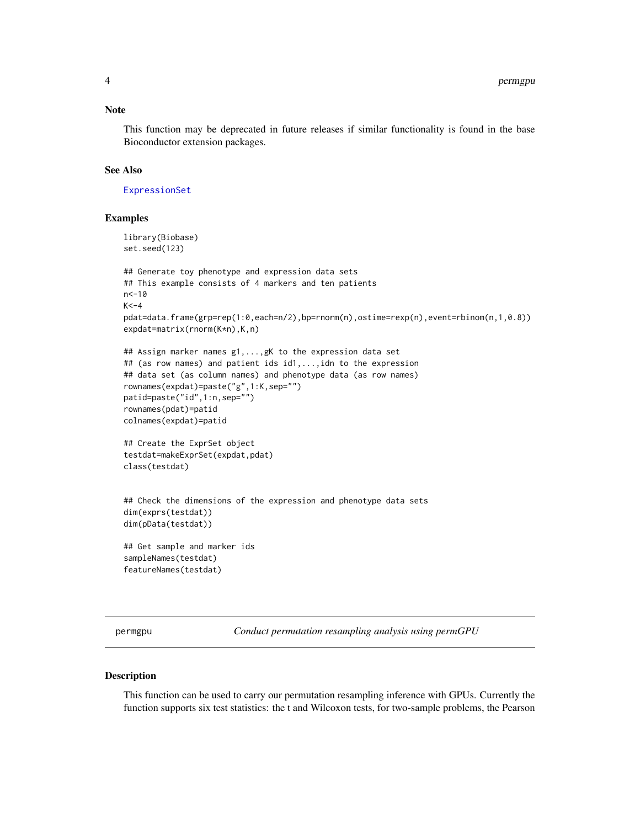#### <span id="page-3-0"></span>Note

This function may be deprecated in future releases if similar functionality is found in the base Bioconductor extension packages.

#### See Also

[ExpressionSet](#page-0-0)

#### Examples

```
library(Biobase)
set.seed(123)
## Generate toy phenotype and expression data sets
## This example consists of 4 markers and ten patients
n < -10K < -4pdat=data.frame(grp=rep(1:0,each=n/2),bp=rnorm(n),ostime=rexp(n),event=rbinom(n,1,0.8))
expdat=matrix(rnorm(K*n),K,n)
## Assign marker names g1,...,gK to the expression data set
## (as row names) and patient ids id1,...,idn to the expression
## data set (as column names) and phenotype data (as row names)
rownames(expdat)=paste("g",1:K,sep="")
patid=paste("id",1:n,sep="")
rownames(pdat)=patid
colnames(expdat)=patid
## Create the ExprSet object
testdat=makeExprSet(expdat,pdat)
class(testdat)
## Check the dimensions of the expression and phenotype data sets
dim(exprs(testdat))
dim(pData(testdat))
## Get sample and marker ids
sampleNames(testdat)
featureNames(testdat)
```
permgpu *Conduct permutation resampling analysis using permGPU*

#### Description

This function can be used to carry our permutation resampling inference with GPUs. Currently the function supports six test statistics: the t and Wilcoxon tests, for two-sample problems, the Pearson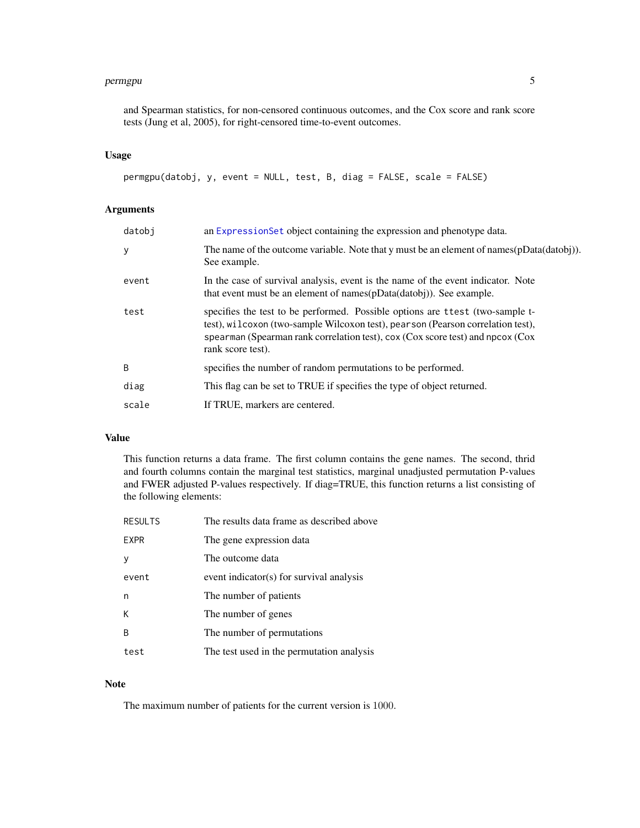#### <span id="page-4-0"></span>permgpu 5

and Spearman statistics, for non-censored continuous outcomes, and the Cox score and rank score tests (Jung et al, 2005), for right-censored time-to-event outcomes.

#### Usage

permgpu(datobj, y, event = NULL, test, B, diag = FALSE, scale = FALSE)

#### Arguments

| datobi | an ExpressionSet object containing the expression and phenotype data.                                                                                                                                                                                                      |
|--------|----------------------------------------------------------------------------------------------------------------------------------------------------------------------------------------------------------------------------------------------------------------------------|
| У      | The name of the outcome variable. Note that y must be an element of names(pData(datobj)).<br>See example.                                                                                                                                                                  |
| event  | In the case of survival analysis, event is the name of the event indicator. Note<br>that event must be an element of names(pData(datobj)). See example.                                                                                                                    |
| test   | specifies the test to be performed. Possible options are t test (two-sample t-<br>test), will coxon (two-sample Wilcoxon test), pearson (Pearson correlation test),<br>spearman (Spearman rank correlation test), cox (Cox score test) and npcox (Cox<br>rank score test). |
| B      | specifies the number of random permutations to be performed.                                                                                                                                                                                                               |
| diag   | This flag can be set to TRUE if specifies the type of object returned.                                                                                                                                                                                                     |
| scale  | If TRUE, markers are centered.                                                                                                                                                                                                                                             |

### Value

This function returns a data frame. The first column contains the gene names. The second, thrid and fourth columns contain the marginal test statistics, marginal unadjusted permutation P-values and FWER adjusted P-values respectively. If diag=TRUE, this function returns a list consisting of the following elements:

| <b>RESULTS</b> | The results data frame as described above |
|----------------|-------------------------------------------|
| <b>EXPR</b>    | The gene expression data                  |
|                | The outcome data                          |
| event          | event indicator(s) for survival analysis  |
| n              | The number of patients                    |
| К              | The number of genes                       |
| B              | The number of permutations                |
| test           | The test used in the permutation analysis |

#### Note

The maximum number of patients for the current version is 1000.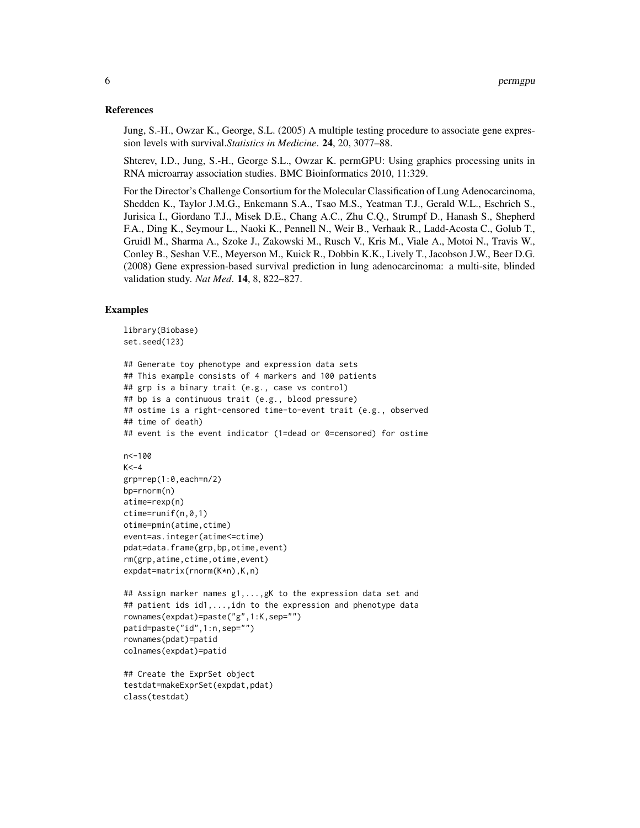#### References

Jung, S.-H., Owzar K., George, S.L. (2005) A multiple testing procedure to associate gene expression levels with survival.*Statistics in Medicine*. 24, 20, 3077–88.

Shterev, I.D., Jung, S.-H., George S.L., Owzar K. permGPU: Using graphics processing units in RNA microarray association studies. BMC Bioinformatics 2010, 11:329.

For the Director's Challenge Consortium for the Molecular Classification of Lung Adenocarcinoma, Shedden K., Taylor J.M.G., Enkemann S.A., Tsao M.S., Yeatman T.J., Gerald W.L., Eschrich S., Jurisica I., Giordano T.J., Misek D.E., Chang A.C., Zhu C.Q., Strumpf D., Hanash S., Shepherd F.A., Ding K., Seymour L., Naoki K., Pennell N., Weir B., Verhaak R., Ladd-Acosta C., Golub T., Gruidl M., Sharma A., Szoke J., Zakowski M., Rusch V., Kris M., Viale A., Motoi N., Travis W., Conley B., Seshan V.E., Meyerson M., Kuick R., Dobbin K.K., Lively T., Jacobson J.W., Beer D.G. (2008) Gene expression-based survival prediction in lung adenocarcinoma: a multi-site, blinded validation study. *Nat Med*. 14, 8, 822–827.

#### Examples

```
library(Biobase)
set.seed(123)
## Generate toy phenotype and expression data sets
## This example consists of 4 markers and 100 patients
## grp is a binary trait (e.g., case vs control)
## bp is a continuous trait (e.g., blood pressure)
## ostime is a right-censored time-to-event trait (e.g., observed
## time of death)
## event is the event indicator (1=dead or 0=censored) for ostime
n<-100
K < -4grp=rep(1:0,each=n/2)
bp=rnorm(n)
atime=rexp(n)
ctime=runif(n,0,1)
```

```
otime=pmin(atime,ctime)
event=as.integer(atime<=ctime)
pdat=data.frame(grp,bp,otime,event)
rm(grp,atime,ctime,otime,event)
expdat=matrix(rnorm(K*n),K,n)
```

```
## Assign marker names g1,...,gK to the expression data set and
## patient ids id1,...,idn to the expression and phenotype data
rownames(expdat)=paste("g",1:K,sep="")
patid=paste("id",1:n,sep="")
rownames(pdat)=patid
colnames(expdat)=patid
```

```
## Create the ExprSet object
testdat=makeExprSet(expdat,pdat)
class(testdat)
```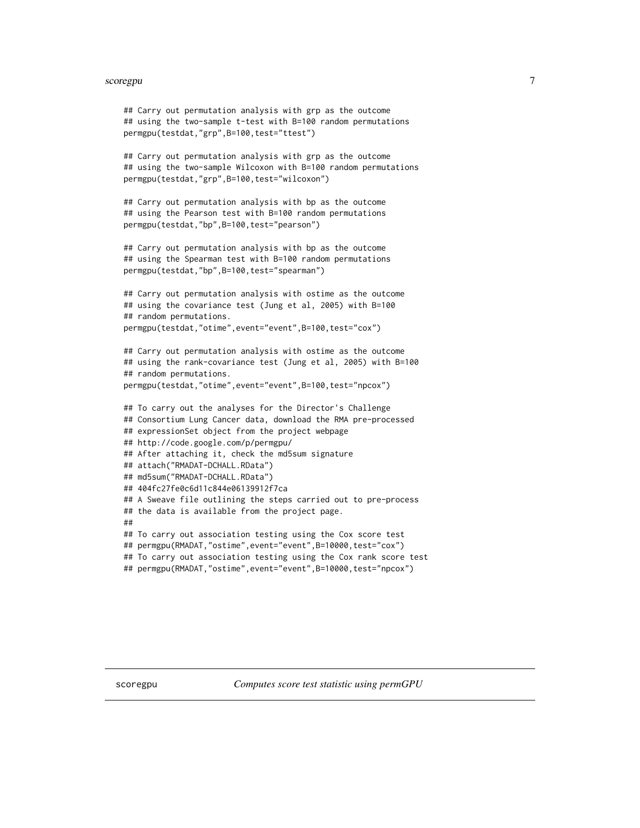#### <span id="page-6-0"></span>scoregpu 7

```
## Carry out permutation analysis with grp as the outcome
## using the two-sample t-test with B=100 random permutations
permgpu(testdat,"grp",B=100,test="ttest")
## Carry out permutation analysis with grp as the outcome
## using the two-sample Wilcoxon with B=100 random permutations
permgpu(testdat,"grp",B=100,test="wilcoxon")
## Carry out permutation analysis with bp as the outcome
## using the Pearson test with B=100 random permutations
permgpu(testdat,"bp",B=100,test="pearson")
## Carry out permutation analysis with bp as the outcome
## using the Spearman test with B=100 random permutations
permgpu(testdat,"bp",B=100,test="spearman")
## Carry out permutation analysis with ostime as the outcome
## using the covariance test (Jung et al, 2005) with B=100
## random permutations.
permgpu(testdat,"otime",event="event",B=100,test="cox")
## Carry out permutation analysis with ostime as the outcome
## using the rank-covariance test (Jung et al, 2005) with B=100
## random permutations.
permgpu(testdat,"otime",event="event",B=100,test="npcox")
## To carry out the analyses for the Director's Challenge
## Consortium Lung Cancer data, download the RMA pre-processed
## expressionSet object from the project webpage
## http://code.google.com/p/permgpu/
## After attaching it, check the md5sum signature
## attach("RMADAT-DCHALL.RData")
## md5sum("RMADAT-DCHALL.RData")
## 404fc27fe0c6d11c844e06139912f7ca
## A Sweave file outlining the steps carried out to pre-process
## the data is available from the project page.
##
## To carry out association testing using the Cox score test
## permgpu(RMADAT,"ostime",event="event",B=10000,test="cox")
## To carry out association testing using the Cox rank score test
## permgpu(RMADAT,"ostime",event="event",B=10000,test="npcox")
```
scoregpu *Computes score test statistic using permGPU*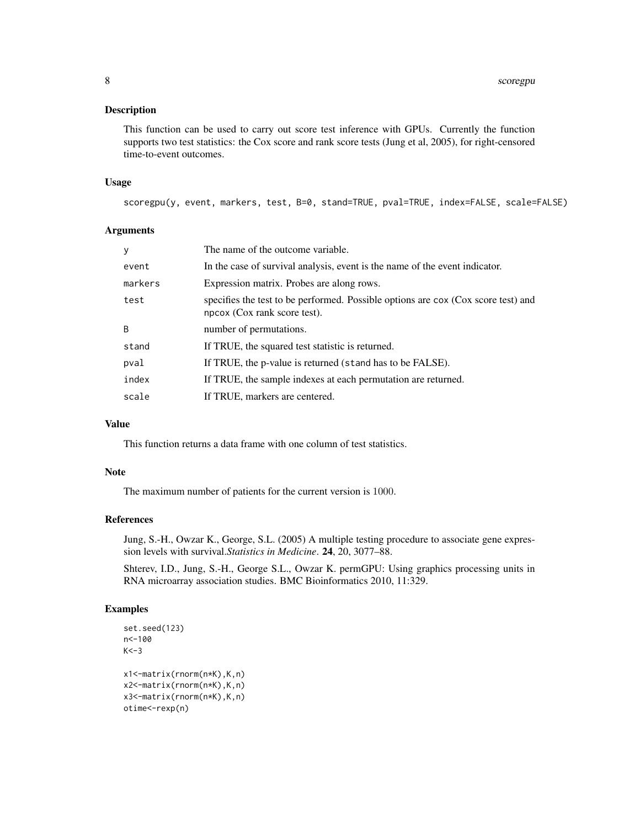#### Description

This function can be used to carry out score test inference with GPUs. Currently the function supports two test statistics: the Cox score and rank score tests (Jung et al, 2005), for right-censored time-to-event outcomes.

#### Usage

scoregpu(y, event, markers, test, B=0, stand=TRUE, pval=TRUE, index=FALSE, scale=FALSE)

#### Arguments

| y       | The name of the outcome variable.                                                                                 |
|---------|-------------------------------------------------------------------------------------------------------------------|
| event   | In the case of survival analysis, event is the name of the event indicator.                                       |
| markers | Expression matrix. Probes are along rows.                                                                         |
| test    | specifies the test to be performed. Possible options are cox (Cox score test) and<br>npcox (Cox rank score test). |
| B       | number of permutations.                                                                                           |
| stand   | If TRUE, the squared test statistic is returned.                                                                  |
| pval    | If TRUE, the p-value is returned (stand has to be FALSE).                                                         |
| index   | If TRUE, the sample indexes at each permutation are returned.                                                     |
| scale   | If TRUE, markers are centered.                                                                                    |

#### Value

This function returns a data frame with one column of test statistics.

#### Note

The maximum number of patients for the current version is 1000.

#### References

Jung, S.-H., Owzar K., George, S.L. (2005) A multiple testing procedure to associate gene expression levels with survival.*Statistics in Medicine*. 24, 20, 3077–88.

Shterev, I.D., Jung, S.-H., George S.L., Owzar K. permGPU: Using graphics processing units in RNA microarray association studies. BMC Bioinformatics 2010, 11:329.

#### Examples

```
set.seed(123)
n<-100
K < -3x1<-matrix(rnorm(n*K),K,n)
x2<-matrix(rnorm(n*K),K,n)
x3<-matrix(rnorm(n*K),K,n)
otime<-rexp(n)
```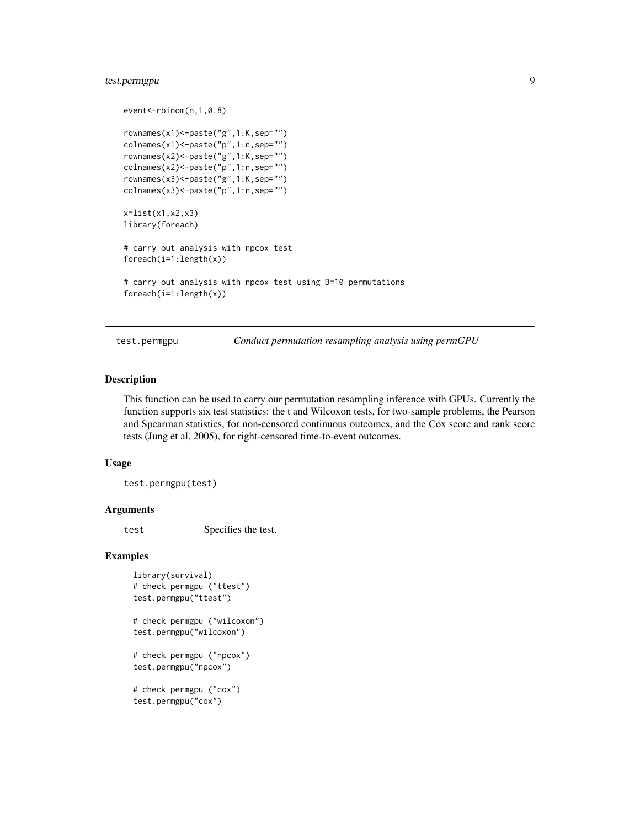#### <span id="page-8-0"></span>test.permgpu 9

```
event<-rbinom(n,1,0.8)
rownames(x1)<-paste("g",1:K,sep="")
colnames(x1)<-paste("p",1:n,sep="")
rownames(x2)<-paste("g",1:K,sep="")
colnames(x2)<-paste("p",1:n,sep="")
rownames(x3)<-paste("g",1:K,sep="")
colnames(x3)<-paste("p",1:n,sep="")
x=list(x1,x2,x3)
library(foreach)
# carry out analysis with npcox test
foreach(i=1:length(x))
# carry out analysis with npcox test using B=10 permutations
foreach(i=1:length(x))
```
test.permgpu *Conduct permutation resampling analysis using permGPU*

#### Description

This function can be used to carry our permutation resampling inference with GPUs. Currently the function supports six test statistics: the t and Wilcoxon tests, for two-sample problems, the Pearson and Spearman statistics, for non-censored continuous outcomes, and the Cox score and rank score tests (Jung et al, 2005), for right-censored time-to-event outcomes.

#### Usage

test.permgpu(test)

#### Arguments

test Specifies the test.

#### Examples

```
library(survival)
# check permgpu ("ttest")
test.permgpu("ttest")
# check permgpu ("wilcoxon")
```

```
test.permgpu("wilcoxon")
```

```
# check permgpu ("npcox")
test.permgpu("npcox")
```

```
# check permgpu ("cox")
test.permgpu("cox")
```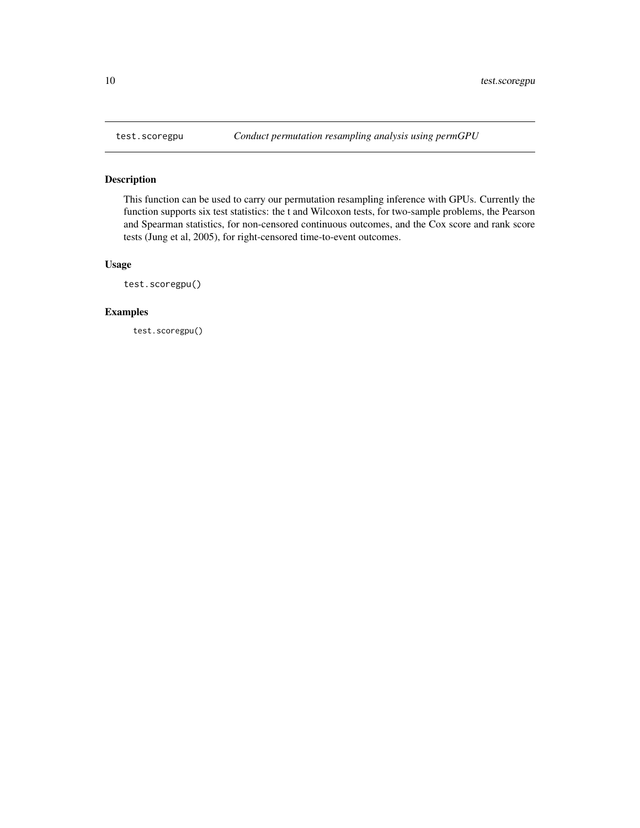<span id="page-9-0"></span>

#### Description

This function can be used to carry our permutation resampling inference with GPUs. Currently the function supports six test statistics: the t and Wilcoxon tests, for two-sample problems, the Pearson and Spearman statistics, for non-censored continuous outcomes, and the Cox score and rank score tests (Jung et al, 2005), for right-censored time-to-event outcomes.

#### Usage

test.scoregpu()

#### Examples

test.scoregpu()